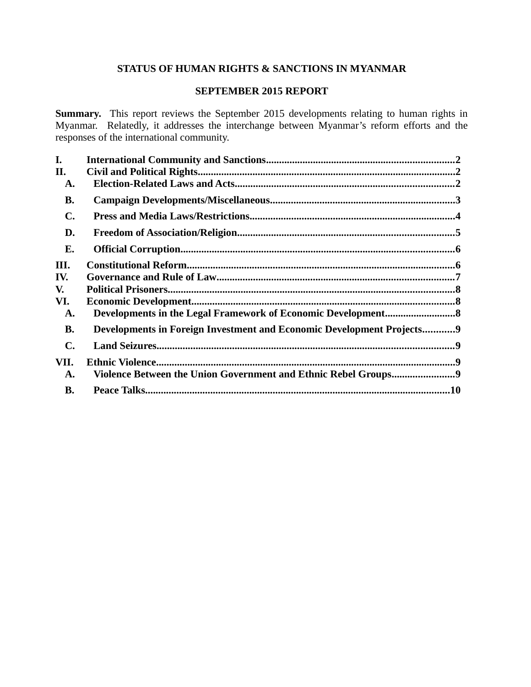# **STATUS OF HUMAN RIGHTS & SANCTIONS IN MYANMAR**

# **SEPTEMBER 2015 REPORT**

**Summary.** This report reviews the September 2015 developments relating to human rights in Myanmar. Relatedly, it addresses the interchange between Myanmar's reform efforts and the responses of the international community.

| L.             |                                                                              |  |
|----------------|------------------------------------------------------------------------------|--|
| II.            |                                                                              |  |
| A.             |                                                                              |  |
| <b>B.</b>      |                                                                              |  |
| $\mathbf{C}$ . |                                                                              |  |
| D.             |                                                                              |  |
| Е.             |                                                                              |  |
| III.           |                                                                              |  |
| IV.            |                                                                              |  |
| V.             |                                                                              |  |
| VI.            |                                                                              |  |
| A.             |                                                                              |  |
| <b>B.</b>      | <b>Developments in Foreign Investment and Economic Development Projects9</b> |  |
| $\mathbf{C}$ . |                                                                              |  |
| VII.           |                                                                              |  |
| A.             | Violence Between the Union Government and Ethnic Rebel Groups9               |  |
| <b>B.</b>      |                                                                              |  |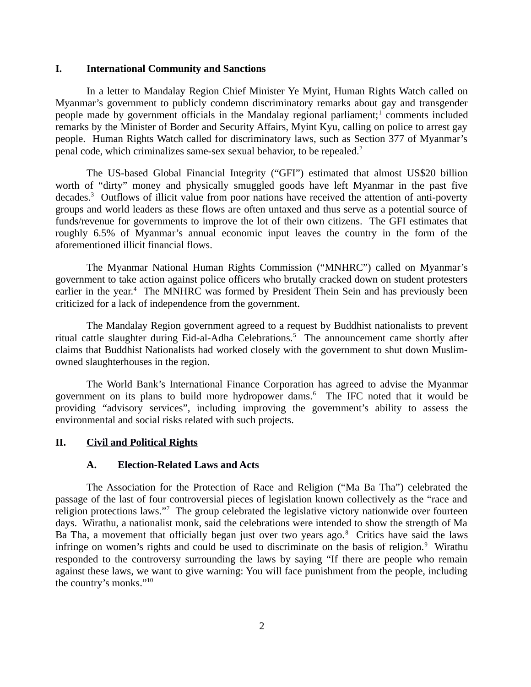#### <span id="page-1-0"></span>**I. International Community and Sanctions**

In a letter to Mandalay Region Chief Minister Ye Myint, Human Rights Watch called on Myanmar's government to publicly condemn discriminatory remarks about gay and transgender people made by government officials in the Mandalay regional parliament;<sup>1</sup> comments included remarks by the Minister of Border and Security Affairs, Myint Kyu, calling on police to arrest gay people. Human Rights Watch called for discriminatory laws, such as Section 377 of Myanmar's penal code, which criminalizes same-sex sexual behavior, to be repealed.<sup>2</sup>

The US-based Global Financial Integrity ("GFI") estimated that almost US\$20 billion worth of "dirty" money and physically smuggled goods have left Myanmar in the past five decades.<sup>3</sup> Outflows of illicit value from poor nations have received the attention of anti-poverty groups and world leaders as these flows are often untaxed and thus serve as a potential source of funds/revenue for governments to improve the lot of their own citizens. The GFI estimates that roughly 6.5% of Myanmar's annual economic input leaves the country in the form of the aforementioned illicit financial flows.

The Myanmar National Human Rights Commission ("MNHRC") called on Myanmar's government to take action against police officers who brutally cracked down on student protesters earlier in the year.<sup>4</sup> The MNHRC was formed by President Thein Sein and has previously been criticized for a lack of independence from the government.

The Mandalay Region government agreed to a request by Buddhist nationalists to prevent ritual cattle slaughter during Eid-al-Adha Celebrations.<sup>5</sup> The announcement came shortly after claims that Buddhist Nationalists had worked closely with the government to shut down Muslimowned slaughterhouses in the region.

The World Bank's International Finance Corporation has agreed to advise the Myanmar government on its plans to build more hydropower dams.<sup>6</sup> The IFC noted that it would be providing "advisory services", including improving the government's ability to assess the environmental and social risks related with such projects.

### **II. Civil and Political Rights**

#### <span id="page-1-2"></span><span id="page-1-1"></span>**A. Election-Related Laws and Acts**

The Association for the Protection of Race and Religion ("Ma Ba Tha") celebrated the passage of the last of four controversial pieces of legislation known collectively as the "race and religion protections laws."<sup>7</sup> The group celebrated the legislative victory nationwide over fourteen days. Wirathu, a nationalist monk, said the celebrations were intended to show the strength of Ma Ba Tha, a movement that officially began just over two years ago. $8$  Critics have said the laws infringe on women's rights and could be used to discriminate on the basis of religion.<sup>9</sup> Wirathu responded to the controversy surrounding the laws by saying "If there are people who remain against these laws, we want to give warning: You will face punishment from the people, including the country's monks."<sup>10</sup>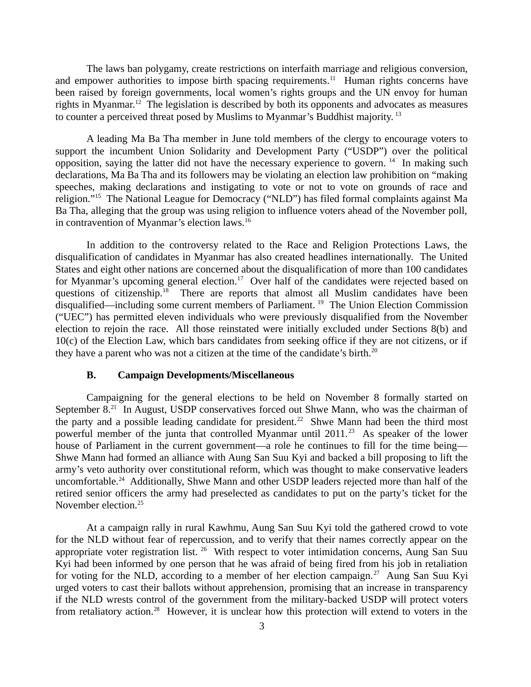The laws ban polygamy, create restrictions on interfaith marriage and religious conversion, and empower authorities to impose birth spacing requirements.<sup>11</sup> Human rights concerns have been raised by foreign governments, local women's rights groups and the UN envoy for human rights in Myanmar.<sup>12</sup> The legislation is described by both its opponents and advocates as measures to counter a perceived threat posed by Muslims to Myanmar's Buddhist majority.<sup>13</sup>

A leading Ma Ba Tha member in June told members of the clergy to encourage voters to support the incumbent Union Solidarity and Development Party ("USDP") over the political opposition, saying the latter did not have the necessary experience to govern.  $14$  In making such declarations, Ma Ba Tha and its followers may be violating an election law prohibition on "making speeches, making declarations and instigating to vote or not to vote on grounds of race and religion."<sup>15</sup> The National League for Democracy ("NLD") has filed formal complaints against Ma Ba Tha, alleging that the group was using religion to influence voters ahead of the November poll, in contravention of Myanmar's election laws.<sup>16</sup>

In addition to the controversy related to the Race and Religion Protections Laws, the disqualification of candidates in Myanmar has also created headlines internationally. The United States and eight other nations are concerned about the disqualification of more than 100 candidates for Myanmar's upcoming general election.<sup>17</sup> Over half of the candidates were rejected based on questions of citizenship.<sup>18</sup> There are reports that almost all Muslim candidates have been disqualified—including some current members of Parliament.<sup>19</sup> The Union Election Commission ("UEC") has permitted eleven individuals who were previously disqualified from the November election to rejoin the race. All those reinstated were initially excluded under Sections 8(b) and 10(c) of the Election Law, which bars candidates from seeking office if they are not citizens, or if they have a parent who was not a citizen at the time of the candidate's birth.<sup>20</sup>

# <span id="page-2-0"></span>**B. Campaign Developments/Miscellaneous**

Campaigning for the general elections to be held on November 8 formally started on September 8.<sup>21</sup> In August, USDP conservatives forced out Shwe Mann, who was the chairman of the party and a possible leading candidate for president.<sup>22</sup> Shwe Mann had been the third most powerful member of the junta that controlled Myanmar until  $2011<sup>23</sup>$  As speaker of the lower house of Parliament in the current government—a role he continues to fill for the time being— Shwe Mann had formed an alliance with Aung San Suu Kyi and backed a bill proposing to lift the army's veto authority over constitutional reform, which was thought to make conservative leaders uncomfortable.<sup>24</sup> Additionally, Shwe Mann and other USDP leaders rejected more than half of the retired senior officers the army had preselected as candidates to put on the party's ticket for the November election.<sup>25</sup>

At a campaign rally in rural Kawhmu, Aung San Suu Kyi told the gathered crowd to vote for the NLD without fear of repercussion, and to verify that their names correctly appear on the appropriate voter registration list. <sup>26</sup> With respect to voter intimidation concerns, Aung San Suu Kyi had been informed by one person that he was afraid of being fired from his job in retaliation for voting for the NLD, according to a member of her election campaign.<sup>27</sup> Aung San Suu Kyi urged voters to cast their ballots without apprehension, promising that an increase in transparency if the NLD wrests control of the government from the military-backed USDP will protect voters from retaliatory action.<sup>28</sup> However, it is unclear how this protection will extend to voters in the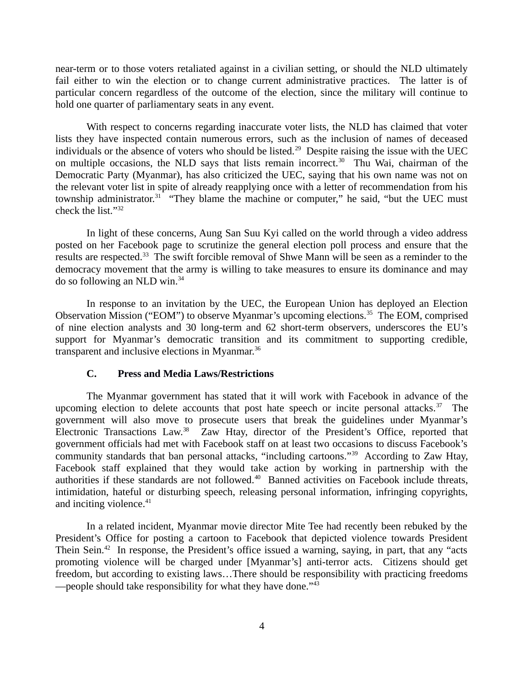near-term or to those voters retaliated against in a civilian setting, or should the NLD ultimately fail either to win the election or to change current administrative practices. The latter is of particular concern regardless of the outcome of the election, since the military will continue to hold one quarter of parliamentary seats in any event.

With respect to concerns regarding inaccurate voter lists, the NLD has claimed that voter lists they have inspected contain numerous errors, such as the inclusion of names of deceased individuals or the absence of voters who should be listed.<sup>29</sup> Despite raising the issue with the UEC on multiple occasions, the NLD says that lists remain incorrect. $30$  Thu Wai, chairman of the Democratic Party (Myanmar), has also criticized the UEC, saying that his own name was not on the relevant voter list in spite of already reapplying once with a letter of recommendation from his township administrator. $31$  "They blame the machine or computer," he said, "but the UEC must check the list."<sup>32</sup>

In light of these concerns, Aung San Suu Kyi called on the world through a video address posted on her Facebook page to scrutinize the general election poll process and ensure that the results are respected.<sup>33</sup> The swift forcible removal of Shwe Mann will be seen as a reminder to the democracy movement that the army is willing to take measures to ensure its dominance and may do so following an NLD win.<sup>34</sup>

In response to an invitation by the UEC, the European Union has deployed an Election Observation Mission ("EOM") to observe Myanmar's upcoming elections.<sup>35</sup> The EOM, comprised of nine election analysts and 30 long-term and 62 short-term observers, underscores the EU's support for Myanmar's democratic transition and its commitment to supporting credible, transparent and inclusive elections in Myanmar.<sup>36</sup>

## <span id="page-3-0"></span>**C. Press and Media Laws/Restrictions**

The Myanmar government has stated that it will work with Facebook in advance of the upcoming election to delete accounts that post hate speech or incite personal attacks. $37$  The government will also move to prosecute users that break the guidelines under Myanmar's Electronic Transactions Law.<sup>38</sup> Zaw Htay, director of the President's Office, reported that government officials had met with Facebook staff on at least two occasions to discuss Facebook's community standards that ban personal attacks, "including cartoons."<sup>39</sup> According to Zaw Htay, Facebook staff explained that they would take action by working in partnership with the authorities if these standards are not followed.<sup>40</sup> Banned activities on Facebook include threats, intimidation, hateful or disturbing speech, releasing personal information, infringing copyrights, and inciting violence. $41$ 

In a related incident, Myanmar movie director Mite Tee had recently been rebuked by the President's Office for posting a cartoon to Facebook that depicted violence towards President Thein Sein.<sup>42</sup> In response, the President's office issued a warning, saying, in part, that any "acts promoting violence will be charged under [Myanmar's] anti-terror acts. Citizens should get freedom, but according to existing laws…There should be responsibility with practicing freedoms —people should take responsibility for what they have done." $43$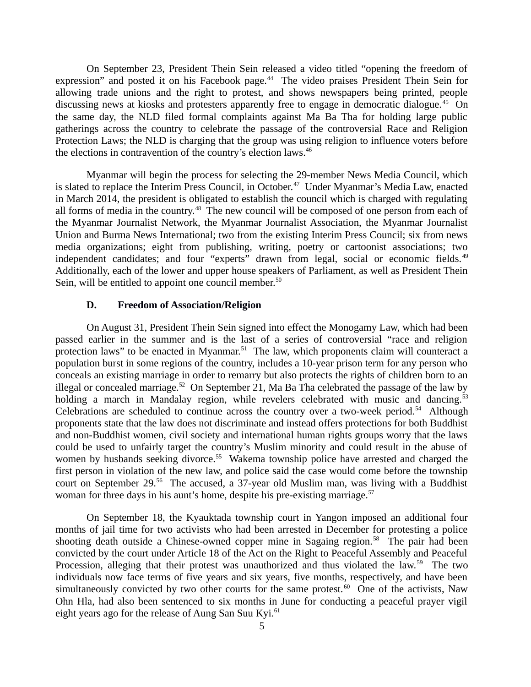On September 23, President Thein Sein released a video titled "opening the freedom of expression" and posted it on his Facebook page.<sup>44</sup> The video praises President Thein Sein for allowing trade unions and the right to protest, and shows newspapers being printed, people discussing news at kiosks and protesters apparently free to engage in democratic dialogue.<sup>45</sup> On the same day, the NLD filed formal complaints against Ma Ba Tha for holding large public gatherings across the country to celebrate the passage of the controversial Race and Religion Protection Laws; the NLD is charging that the group was using religion to influence voters before the elections in contravention of the country's election laws.<sup>46</sup>

Myanmar will begin the process for selecting the 29-member News Media Council, which is slated to replace the Interim Press Council, in October.<sup>47</sup> Under Myanmar's Media Law, enacted in March 2014, the president is obligated to establish the council which is charged with regulating all forms of media in the country.<sup>48</sup> The new council will be composed of one person from each of the Myanmar Journalist Network, the Myanmar Journalist Association, the Myanmar Journalist Union and Burma News International; two from the existing Interim Press Council; six from news media organizations; eight from publishing, writing, poetry or cartoonist associations; two independent candidates; and four "experts" drawn from legal, social or economic fields.<sup>49</sup> Additionally, each of the lower and upper house speakers of Parliament, as well as President Thein Sein, will be entitled to appoint one council member.<sup>50</sup>

### <span id="page-4-0"></span>**D. Freedom of Association/Religion**

On August 31, President Thein Sein signed into effect the Monogamy Law, which had been passed earlier in the summer and is the last of a series of controversial "race and religion protection laws" to be enacted in Myanmar.<sup>51</sup> The law, which proponents claim will counteract a population burst in some regions of the country, includes a 10-year prison term for any person who conceals an existing marriage in order to remarry but also protects the rights of children born to an illegal or concealed marriage.<sup>52</sup> On September 21, Ma Ba Tha celebrated the passage of the law by holding a march in Mandalay region, while revelers celebrated with music and dancing.<sup>53</sup> Celebrations are scheduled to continue across the country over a two-week period.<sup>54</sup> Although proponents state that the law does not discriminate and instead offers protections for both Buddhist and non-Buddhist women, civil society and international human rights groups worry that the laws could be used to unfairly target the country's Muslim minority and could result in the abuse of women by husbands seeking divorce.<sup>55</sup> Wakema township police have arrested and charged the first person in violation of the new law, and police said the case would come before the township court on September 29.<sup>56</sup> The accused, a 37-year old Muslim man, was living with a Buddhist woman for three days in his aunt's home, despite his pre-existing marriage.<sup>57</sup>

On September 18, the Kyauktada township court in Yangon imposed an additional four months of jail time for two activists who had been arrested in December for protesting a police shooting death outside a Chinese-owned copper mine in Sagaing region. $58$  The pair had been convicted by the court under Article 18 of the Act on the Right to Peaceful Assembly and Peaceful Procession, alleging that their protest was unauthorized and thus violated the law.<sup>59</sup> The two individuals now face terms of five years and six years, five months, respectively, and have been simultaneously convicted by two other courts for the same protest.<sup>60</sup> One of the activists, Naw Ohn Hla, had also been sentenced to six months in June for conducting a peaceful prayer vigil eight years ago for the release of Aung San Suu Kyi.<sup>61</sup>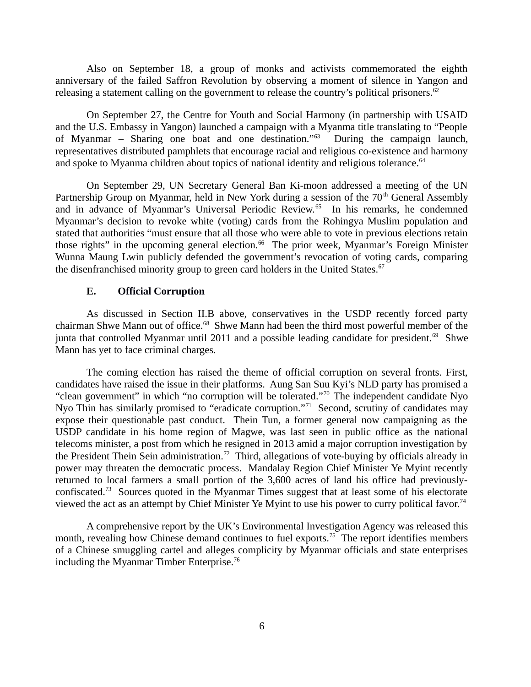Also on September 18, a group of monks and activists commemorated the eighth anniversary of the failed Saffron Revolution by observing a moment of silence in Yangon and releasing a statement calling on the government to release the country's political prisoners. $62$ 

On September 27, the Centre for Youth and Social Harmony (in partnership with USAID and the U.S. Embassy in Yangon) launched a campaign with a Myanma title translating to "People of Myanmar – Sharing one boat and one destination."<sup>63</sup> During the campaign launch, representatives distributed pamphlets that encourage racial and religious co-existence and harmony and spoke to Myanma children about topics of national identity and religious tolerance.<sup>64</sup>

On September 29, UN Secretary General Ban Ki-moon addressed a meeting of the UN Partnership Group on Myanmar, held in New York during a session of the 70<sup>th</sup> General Assembly and in advance of Myanmar's Universal Periodic Review.<sup>65</sup> In his remarks, he condemned Myanmar's decision to revoke white (voting) cards from the Rohingya Muslim population and stated that authorities "must ensure that all those who were able to vote in previous elections retain those rights" in the upcoming general election.<sup>66</sup> The prior week, Myanmar's Foreign Minister Wunna Maung Lwin publicly defended the government's revocation of voting cards, comparing the disenfranchised minority group to green card holders in the United States.<sup>67</sup>

#### <span id="page-5-0"></span>**E. Official Corruption**

As discussed in Section II.B above, conservatives in the USDP recently forced party chairman Shwe Mann out of office.<sup>68</sup> Shwe Mann had been the third most powerful member of the junta that controlled Myanmar until 2011 and a possible leading candidate for president.<sup>69</sup> Shwe Mann has yet to face criminal charges.

The coming election has raised the theme of official corruption on several fronts. First, candidates have raised the issue in their platforms. Aung San Suu Kyi's NLD party has promised a "clean government" in which "no corruption will be tolerated."<sup>70</sup> The independent candidate Nyo Nyo Thin has similarly promised to "eradicate corruption."<sup>71</sup> Second, scrutiny of candidates may expose their questionable past conduct. Thein Tun, a former general now campaigning as the USDP candidate in his home region of Magwe, was last seen in public office as the national telecoms minister, a post from which he resigned in 2013 amid a major corruption investigation by the President Thein Sein administration.<sup>72</sup> Third, allegations of vote-buying by officials already in power may threaten the democratic process. Mandalay Region Chief Minister Ye Myint recently returned to local farmers a small portion of the 3,600 acres of land his office had previouslyconfiscated.<sup>73</sup> Sources quoted in the Myanmar Times suggest that at least some of his electorate viewed the act as an attempt by Chief Minister Ye Myint to use his power to curry political favor.<sup>74</sup>

A comprehensive report by the UK's Environmental Investigation Agency was released this month, revealing how Chinese demand continues to fuel exports.<sup>75</sup> The report identifies members of a Chinese smuggling cartel and alleges complicity by Myanmar officials and state enterprises including the Myanmar Timber Enterprise. $76$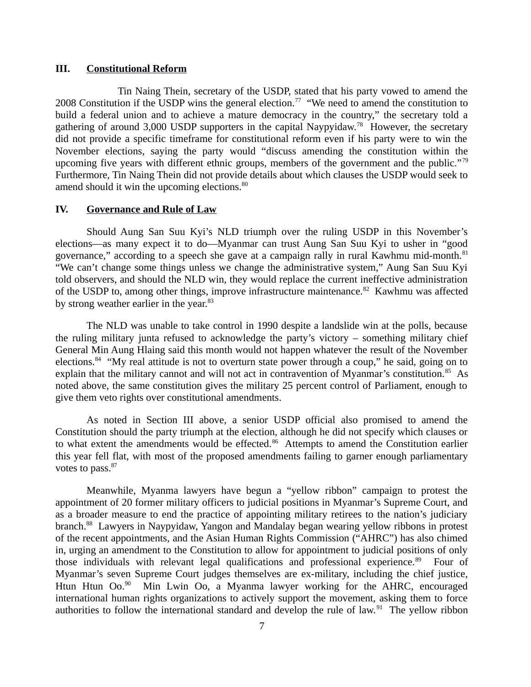#### <span id="page-6-1"></span>**III. Constitutional Reform**

Tin Naing Thein, secretary of the USDP, stated that his party vowed to amend the 2008 Constitution if the USDP wins the general election.<sup>77</sup> "We need to amend the constitution to build a federal union and to achieve a mature democracy in the country," the secretary told a gathering of around 3,000 USDP supporters in the capital Naypyidaw.<sup>78</sup> However, the secretary did not provide a specific timeframe for constitutional reform even if his party were to win the November elections, saying the party would "discuss amending the constitution within the upcoming five years with different ethnic groups, members of the government and the public."<sup>79</sup> Furthermore, Tin Naing Thein did not provide details about which clauses the USDP would seek to amend should it win the upcoming elections.<sup>80</sup>

### <span id="page-6-0"></span>**IV. Governance and Rule of Law**

Should Aung San Suu Kyi's NLD triumph over the ruling USDP in this November's elections—as many expect it to do—Myanmar can trust Aung San Suu Kyi to usher in "good governance," according to a speech she gave at a campaign rally in rural Kawhmu mid-month. $81$ "We can't change some things unless we change the administrative system," Aung San Suu Kyi told observers, and should the NLD win, they would replace the current ineffective administration of the USDP to, among other things, improve infrastructure maintenance.<sup>82</sup> Kawhmu was affected by strong weather earlier in the year.<sup>83</sup>

The NLD was unable to take control in 1990 despite a landslide win at the polls, because the ruling military junta refused to acknowledge the party's victory – something military chief General Min Aung Hlaing said this month would not happen whatever the result of the November elections.<sup>84</sup> "My real attitude is not to overturn state power through a coup," he said, going on to explain that the military cannot and will not act in contravention of Myanmar's constitution.<sup>85</sup> As noted above, the same constitution gives the military 25 percent control of Parliament, enough to give them veto rights over constitutional amendments.

As noted in Section III above, a senior USDP official also promised to amend the Constitution should the party triumph at the election, although he did not specify which clauses or to what extent the amendments would be effected.<sup>86</sup> Attempts to amend the Constitution earlier this year fell flat, with most of the proposed amendments failing to garner enough parliamentary votes to pass.<sup>87</sup>

Meanwhile, Myanma lawyers have begun a "yellow ribbon" campaign to protest the appointment of 20 former military officers to judicial positions in Myanmar's Supreme Court, and as a broader measure to end the practice of appointing military retirees to the nation's judiciary branch.<sup>88</sup> Lawyers in Naypyidaw, Yangon and Mandalay began wearing yellow ribbons in protest of the recent appointments, and the Asian Human Rights Commission ("AHRC") has also chimed in, urging an amendment to the Constitution to allow for appointment to judicial positions of only those individuals with relevant legal qualifications and professional experience. $89$  Four of Myanmar's seven Supreme Court judges themselves are ex-military, including the chief justice, Htun Htun Oo.<sup>90</sup> Min Lwin Oo, a Myanma lawyer working for the AHRC, encouraged international human rights organizations to actively support the movement, asking them to force authorities to follow the international standard and develop the rule of law. $91$  The yellow ribbon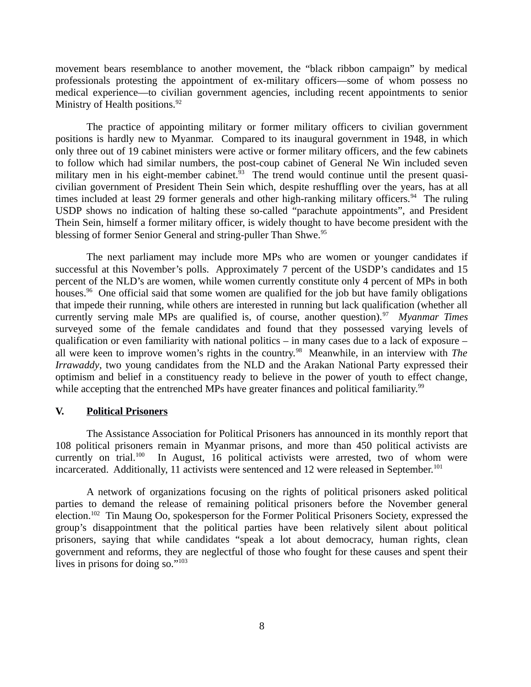movement bears resemblance to another movement, the "black ribbon campaign" by medical professionals protesting the appointment of ex-military officers—some of whom possess no medical experience—to civilian government agencies, including recent appointments to senior Ministry of Health positions.<sup>92</sup>

The practice of appointing military or former military officers to civilian government positions is hardly new to Myanmar. Compared to its inaugural government in 1948, in which only three out of 19 cabinet ministers were active or former military officers, and the few cabinets to follow which had similar numbers, the post-coup cabinet of General Ne Win included seven military men in his eight-member cabinet. ${}^{33}$  The trend would continue until the present quasicivilian government of President Thein Sein which, despite reshuffling over the years, has at all times included at least 29 former generals and other high-ranking military officers.<sup>94</sup> The ruling USDP shows no indication of halting these so-called "parachute appointments", and President Thein Sein, himself a former military officer, is widely thought to have become president with the blessing of former Senior General and string-puller Than Shwe.<sup>95</sup>

The next parliament may include more MPs who are women or younger candidates if successful at this November's polls. Approximately 7 percent of the USDP's candidates and 15 percent of the NLD's are women, while women currently constitute only 4 percent of MPs in both houses.<sup>96</sup> One official said that some women are qualified for the job but have family obligations that impede their running, while others are interested in running but lack qualification (whether all currently serving male MPs are qualified is, of course, another question).<sup>97</sup> Myanmar Times surveyed some of the female candidates and found that they possessed varying levels of qualification or even familiarity with national politics – in many cases due to a lack of exposure – all were keen to improve women's rights in the country.<sup>98</sup> Meanwhile, in an interview with *The Irrawaddy*, two young candidates from the NLD and the Arakan National Party expressed their optimism and belief in a constituency ready to believe in the power of youth to effect change, while accepting that the entrenched MPs have greater finances and political familiarity.<sup>99</sup>

# <span id="page-7-0"></span>**V. Political Prisoners**

The Assistance Association for Political Prisoners has announced in its monthly report that 108 political prisoners remain in Myanmar prisons, and more than 450 political activists are currently on trial.<sup>100</sup> In August, 16 political activists were arrested, two of whom were incarcerated. Additionally, 11 activists were sentenced and 12 were released in September.<sup>101</sup>

A network of organizations focusing on the rights of political prisoners asked political parties to demand the release of remaining political prisoners before the November general election.<sup>102</sup> Tin Maung Oo, spokesperson for the Former Political Prisoners Society, expressed the group's disappointment that the political parties have been relatively silent about political prisoners, saying that while candidates "speak a lot about democracy, human rights, clean government and reforms, they are neglectful of those who fought for these causes and spent their lives in prisons for doing so."<sup>103</sup>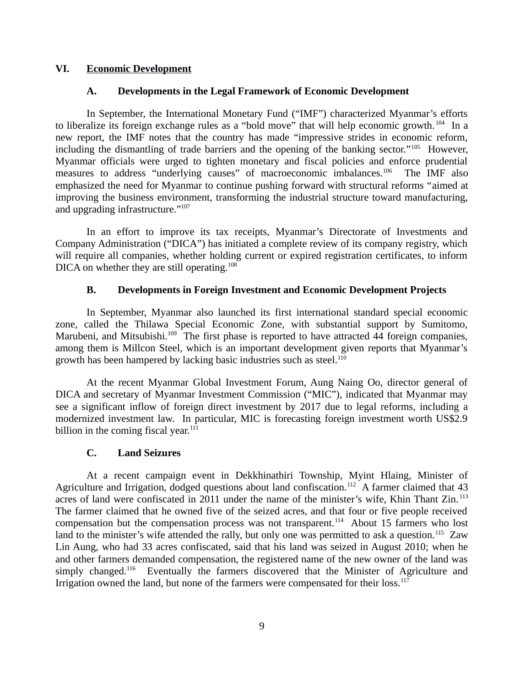## **VI. Economic Development**

## <span id="page-8-3"></span><span id="page-8-2"></span>**A. Developments in the Legal Framework of Economic Development**

In September, the International Monetary Fund ("IMF") characterized Myanmar's efforts to liberalize its foreign exchange rules as a "bold move" that will help economic growth.<sup>104</sup> In a new report, the IMF notes that the country has made "impressive strides in economic reform, including the dismantling of trade barriers and the opening of the banking sector."<sup>105</sup> However, Myanmar officials were urged to tighten monetary and fiscal policies and enforce prudential measures to address "underlying causes" of macroeconomic imbalances.<sup>106</sup> The IMF also emphasized the need for Myanmar to continue pushing forward with structural reforms "aimed at improving the business environment, transforming the industrial structure toward manufacturing, and upgrading infrastructure."107

In an effort to improve its tax receipts, Myanmar's Directorate of Investments and Company Administration ("DICA") has initiated a complete review of its company registry, which will require all companies, whether holding current or expired registration certificates, to inform DICA on whether they are still operating.<sup>108</sup>

### <span id="page-8-1"></span>**B. Developments in Foreign Investment and Economic Development Projects**

In September, Myanmar also launched its first international standard special economic zone, called the Thilawa Special Economic Zone, with substantial support by Sumitomo, Marubeni, and Mitsubishi.<sup>109</sup> The first phase is reported to have attracted 44 foreign companies, among them is Millcon Steel, which is an important development given reports that Myanmar's growth has been hampered by lacking basic industries such as steel.<sup>110</sup>

At the recent Myanmar Global Investment Forum, Aung Naing Oo, director general of DICA and secretary of Myanmar Investment Commission ("MIC"), indicated that Myanmar may see a significant inflow of foreign direct investment by 2017 due to legal reforms, including a modernized investment law. In particular, MIC is forecasting foreign investment worth US\$2.9 billion in the coming fiscal year.<sup>111</sup>

### <span id="page-8-0"></span>**C. Land Seizures**

At a recent campaign event in Dekkhinathiri Township, Myint Hlaing, Minister of Agriculture and Irrigation, dodged questions about land confiscation.<sup>112</sup> A farmer claimed that 43 acres of land were confiscated in 2011 under the name of the minister's wife, Khin Thant Zin.<sup>113</sup> The farmer claimed that he owned five of the seized acres, and that four or five people received compensation but the compensation process was not transparent.<sup>114</sup> About 15 farmers who lost land to the minister's wife attended the rally, but only one was permitted to ask a question.<sup>115</sup> Zaw Lin Aung, who had 33 acres confiscated, said that his land was seized in August 2010; when he and other farmers demanded compensation, the registered name of the new owner of the land was simply changed.<sup>116</sup> Eventually the farmers discovered that the Minister of Agriculture and Irrigation owned the land, but none of the farmers were compensated for their  $loss.<sup>117</sup>$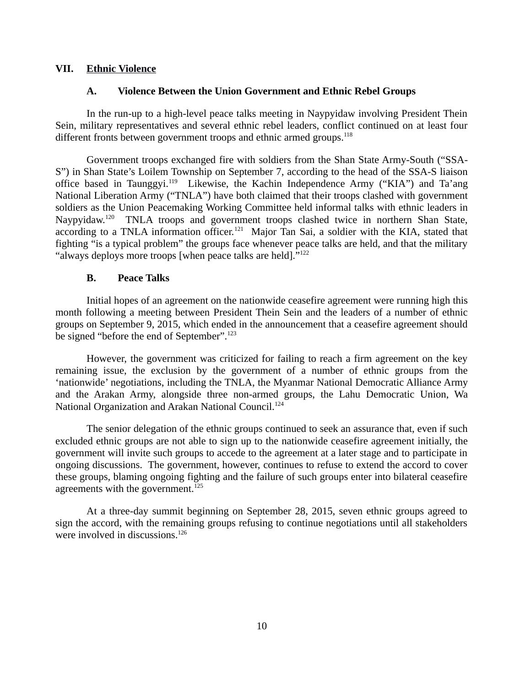## **VII. Ethnic Violence**

## <span id="page-9-2"></span><span id="page-9-1"></span>**A. Violence Between the Union Government and Ethnic Rebel Groups**

In the run-up to a high-level peace talks meeting in Naypyidaw involving President Thein Sein, military representatives and several ethnic rebel leaders, conflict continued on at least four different fronts between government troops and ethnic armed groups.<sup>118</sup>

Government troops exchanged fire with soldiers from the Shan State Army-South ("SSA-S") in Shan State's Loilem Township on September 7, according to the head of the SSA-S liaison office based in Taunggyi.<sup>119</sup> Likewise, the Kachin Independence Army ("KIA") and Ta'ang National Liberation Army ("TNLA") have both claimed that their troops clashed with government soldiers as the Union Peacemaking Working Committee held informal talks with ethnic leaders in Naypyidaw.<sup>120</sup> TNLA troops and government troops clashed twice in northern Shan State, according to a TNLA information officer.<sup>121</sup> Major Tan Sai, a soldier with the KIA, stated that fighting "is a typical problem" the groups face whenever peace talks are held, and that the military "always deploys more troops [when peace talks are held]."<sup>122</sup>

## <span id="page-9-0"></span>**B. Peace Talks**

Initial hopes of an agreement on the nationwide ceasefire agreement were running high this month following a meeting between President Thein Sein and the leaders of a number of ethnic groups on September 9, 2015, which ended in the announcement that a ceasefire agreement should be signed "before the end of September".<sup>123</sup>

However, the government was criticized for failing to reach a firm agreement on the key remaining issue, the exclusion by the government of a number of ethnic groups from the 'nationwide' negotiations, including the TNLA, the Myanmar National Democratic Alliance Army and the Arakan Army, alongside three non-armed groups, the Lahu Democratic Union, Wa National Organization and Arakan National Council.<sup>124</sup>

The senior delegation of the ethnic groups continued to seek an assurance that, even if such excluded ethnic groups are not able to sign up to the nationwide ceasefire agreement initially, the government will invite such groups to accede to the agreement at a later stage and to participate in ongoing discussions. The government, however, continues to refuse to extend the accord to cover these groups, blaming ongoing fighting and the failure of such groups enter into bilateral ceasefire agreements with the government. $125$ 

At a three-day summit beginning on September 28, 2015, seven ethnic groups agreed to sign the accord, with the remaining groups refusing to continue negotiations until all stakeholders were involved in discussions.<sup>126</sup>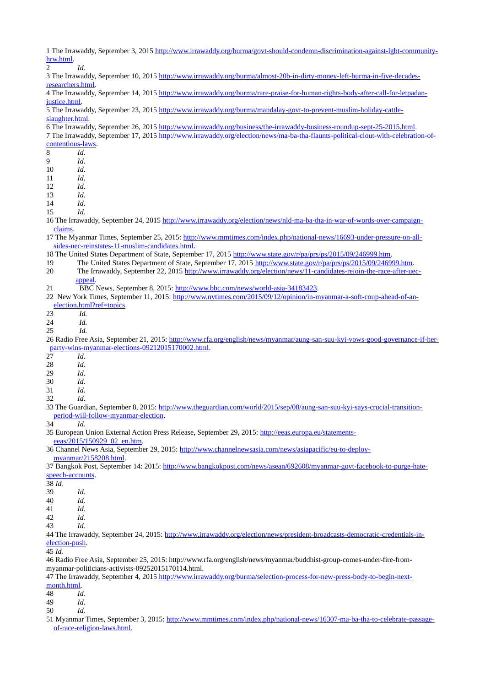1 The Irrawaddy, September 3, 2015 [http://www.irrawaddy.org/burma/govt-should-condemn-discrimination-against-lgbt-community](http://www.irrawaddy.org/burma/govt-should-condemn-discrimination-against-lgbt-community-hrw.html)[hrw.html.](http://www.irrawaddy.org/burma/govt-should-condemn-discrimination-against-lgbt-community-hrw.html)

2 *Id.*

3 The Irrawaddy, September 10, 2015 [http://www.irrawaddy.org/burma/almost-20b-in-dirty-money-left-burma-in-five-decades](http://www.irrawaddy.org/burma/almost-20b-in-dirty-money-left-burma-in-five-decades-researchers.html)[researchers.html.](http://www.irrawaddy.org/burma/almost-20b-in-dirty-money-left-burma-in-five-decades-researchers.html)

4 The Irrawaddy, September 14, 2015 [http://www.irrawaddy.org/burma/rare-praise-for-human-rights-body-after-call-for-letpadan](http://www.irrawaddy.org/burma/rare-praise-for-human-rights-body-after-call-for-letpadan-justice.html)[justice.html.](http://www.irrawaddy.org/burma/rare-praise-for-human-rights-body-after-call-for-letpadan-justice.html)

5 The Irrawaddy, September 23, 2015 [http://www.irrawaddy.org/burma/mandalay-govt-to-prevent-muslim-holiday-cattle](http://www.irrawaddy.org/burma/mandalay-govt-to-prevent-muslim-holiday-cattle-slaughter.html)[slaughter.html.](http://www.irrawaddy.org/burma/mandalay-govt-to-prevent-muslim-holiday-cattle-slaughter.html)

6 The Irrawaddy, September 26, 2015 [http://www.irrawaddy.org/business/the-irrawaddy-business-roundup-sept-25-2015.html.](http://www.irrawaddy.org/business/the-irrawaddy-business-roundup-sept-25-2015.html) 7 The Irrawaddy, September 17, 2015 [http://www.irrawaddy.org/election/news/ma-ba-tha-flaunts-political-clout-with-celebration-of-](http://www.irrawaddy.org/election/news/ma-ba-tha-flaunts-political-clout-with-celebration-of-contentious-laws)

[contentious-laws.](http://www.irrawaddy.org/election/news/ma-ba-tha-flaunts-political-clout-with-celebration-of-contentious-laws)

8 *Id*.

9 *Id*. 10 *Id*.

11 *Id*.

12 *Id*.

13 *Id*.

14 *Id*.

15 *Id*.

16 The Irrawaddy, September 24, 2015 [http://www.irrawaddy.org/election/news/nld-ma-ba-tha-in-war-of-words-over-campaign](http://www.irrawaddy.org/election/news/nld-ma-ba-tha-in-war-of-words-over-campaign-claims)[claims.](http://www.irrawaddy.org/election/news/nld-ma-ba-tha-in-war-of-words-over-campaign-claims)

17 The Myanmar Times, September 25, 2015: [http://www.mmtimes.com/index.php/national-news/16693-under-pressure-on-all](http://www.mmtimes.com/index.php/national-news/16693-under-pressure-on-all-sides-uec-reinstates-11-muslim-candidates.html)[sides-uec-reinstates-11-muslim-candidates.html.](http://www.mmtimes.com/index.php/national-news/16693-under-pressure-on-all-sides-uec-reinstates-11-muslim-candidates.html)

18 The United States Department of State, September 17, 2015 [http://www.state.gov/r/pa/prs/ps/2015/09/246999.htm.](http://www.state.gov/r/pa/prs/ps/2015/09/246999.htm)

- 19 The United States Department of State, September 17, 2015 [http://www.state.gov/r/pa/prs/ps/2015/09/246999.htm.](http://www.state.gov/r/pa/prs/ps/2015/09/246999.htm)
- 20 The Irrawaddy, September 22, 2015 [http://www.irrawaddy.org/election/news/11-candidates-rejoin-the-race-after-uec](http://www.irrawaddy.org/election/news/11-candidates-rejoin-the-race-after-uec-appeal)[appeal.](http://www.irrawaddy.org/election/news/11-candidates-rejoin-the-race-after-uec-appeal)
- 21 BBC News, September 8, 2015: [http://www.bbc.com/news/world-asia-34183423.](http://www.bbc.com/news/world-asia-34183423)
- 22 New York Times, September 11, 2015: [http://www.nytimes.com/2015/09/12/opinion/in-myanmar-a-soft-coup-ahead-of-an](http://www.nytimes.com/2015/09/12/opinion/in-myanmar-a-soft-coup-ahead-of-an-election.html?ref=topics)[election.html?ref=topics.](http://www.nytimes.com/2015/09/12/opinion/in-myanmar-a-soft-coup-ahead-of-an-election.html?ref=topics)

23 *Id.*

24 *Id.*

25 *Id.*

27 *Id*.

28 *Id*.

29 *Id*.

30 *Id*.

31 *Id*.

32 *Id*.

33 The Guardian, September 8, 2015: [http://www.theguardian.com/world/2015/sep/08/aung-san-suu-kyi-says-crucial-transition](http://www.theguardian.com/world/2015/sep/08/aung-san-suu-kyi-says-crucial-transition-period-will-follow-myanmar-election)[period-will-follow-myanmar-election.](http://www.theguardian.com/world/2015/sep/08/aung-san-suu-kyi-says-crucial-transition-period-will-follow-myanmar-election)

34 *Id.*

35 European Union External Action Press Release, September 29, 2015: [http://eeas.europa.eu/statements-](http://eeas.europa.eu/statements-eeas/2015/150929_02_en.htm)

[eeas/2015/150929\\_02\\_en.htm.](http://eeas.europa.eu/statements-eeas/2015/150929_02_en.htm)

36 Channel News Asia, September 29, 2015: [http://www.channelnewsasia.com/news/asiapacific/eu-to-deploy](http://www.channelnewsasia.com/news/asiapacific/eu-to-deploy-myanmar/2158208.html)[myanmar/2158208.html.](http://www.channelnewsasia.com/news/asiapacific/eu-to-deploy-myanmar/2158208.html)

37 Bangkok Post, September 14: 2015: [http://www.bangkokpost.com/news/asean/692608/myanmar-govt-facebook-to-purge-hate](http://www.bangkokpost.com/news/asean/692608/myanmar-govt-facebook-to-purge-hate-speech-accounts)[speech-accounts.](http://www.bangkokpost.com/news/asean/692608/myanmar-govt-facebook-to-purge-hate-speech-accounts)

38 *Id.* 

39 *Id.*

40 *Id.*

41 *Id.*

42 *Id.*

43 *Id.*

44 The Irrawaddy, September 24, 2015: [http://www.irrawaddy.org/election/news/president-broadcasts-democratic-credentials-in](http://www.irrawaddy.org/election/news/president-broadcasts-democratic-credentials-in-election-push)[election-push.](http://www.irrawaddy.org/election/news/president-broadcasts-democratic-credentials-in-election-push)

45 *Id.* 

46 Radio Free Asia, September 25, 2015: http://www.rfa.org/english/news/myanmar/buddhist-group-comes-under-fire-frommyanmar-politicians-activists-09252015170114.html.

47 The Irrawaddy, September 4, 2015 [http://www.irrawaddy.org/burma/selection-process-for-new-press-body-to-begin-next](http://www.irrawaddy.org/burma/selection-process-for-new-press-body-to-begin-next-month.html)[month.html.](http://www.irrawaddy.org/burma/selection-process-for-new-press-body-to-begin-next-month.html)

48 *Id.*

49 *Id*.

50 *Id.*

51 Myanmar Times, September 3, 2015: [http://www.mmtimes.com/index.php/national-news/16307-ma-ba-tha-to-celebrate-passage](http://www.mmtimes.com/index.php/national-news/16307-ma-ba-tha-to-celebrate-passage-of-race-religion-laws.html)[of-race-religion-laws.html.](http://www.mmtimes.com/index.php/national-news/16307-ma-ba-tha-to-celebrate-passage-of-race-religion-laws.html)

<sup>26</sup> Radio Free Asia, September 21, 2015: [http://www.rfa.org/english/news/myanmar/aung-san-suu-kyi-vows-good-governance-if-her](http://www.rfa.org/english/news/myanmar/aung-san-suu-kyi-vows-good-governance-if-her-party-wins-myanmar-elections-09212015170002.html)[party-wins-myanmar-elections-09212015170002.html.](http://www.rfa.org/english/news/myanmar/aung-san-suu-kyi-vows-good-governance-if-her-party-wins-myanmar-elections-09212015170002.html)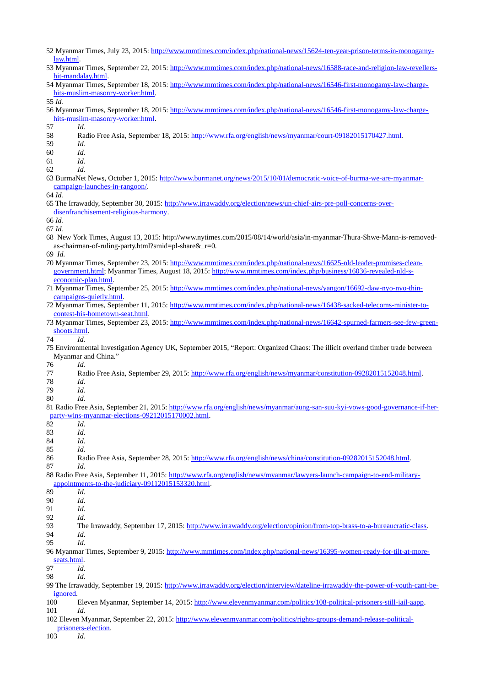- 52 Myanmar Times, July 23, 2015: [http://www.mmtimes.com/index.php/national-news/15624-ten-year-prison-terms-in-monogamy](http://www.mmtimes.com/index.php/national-news/15624-ten-year-prison-terms-in-monogamy-law.html)[law.html.](http://www.mmtimes.com/index.php/national-news/15624-ten-year-prison-terms-in-monogamy-law.html)
- 53 Myanmar Times, September 22, 2015: [http://www.mmtimes.com/index.php/national-news/16588-race-and-religion-law-revellers](http://www.mmtimes.com/index.php/national-news/16588-race-and-religion-law-revellers-hit-mandalay.html)[hit-mandalay.html.](http://www.mmtimes.com/index.php/national-news/16588-race-and-religion-law-revellers-hit-mandalay.html)
- 54 Myanmar Times, September 18, 2015: [http://www.mmtimes.com/index.php/national-news/16546-first-monogamy-law-charge](http://www.mmtimes.com/index.php/national-news/16546-first-monogamy-law-charge-hits-muslim-masonry-worker.html)[hits-muslim-masonry-worker.html.](http://www.mmtimes.com/index.php/national-news/16546-first-monogamy-law-charge-hits-muslim-masonry-worker.html)

55 *Id.*

- 56 Myanmar Times, September 18, 2015: [http://www.mmtimes.com/index.php/national-news/16546-first-monogamy-law-charge](http://www.mmtimes.com/index.php/national-news/16546-first-monogamy-law-charge-hits-muslim-masonry-worker.html)[hits-muslim-masonry-worker.html.](http://www.mmtimes.com/index.php/national-news/16546-first-monogamy-law-charge-hits-muslim-masonry-worker.html)
- 57 *Id.*
- 58 Radio Free Asia, September 18, 2015: [http://www.rfa.org/english/news/myanmar/court-09182015170427.html.](http://www.rfa.org/english/news/myanmar/court-09182015170427.html)
- 59 *Id.*
- 60 *Id.*

61 *Id.*

- 62 *Id.*
- 63 BurmaNet News, October 1, 2015: [http://www.burmanet.org/news/2015/10/01/democratic-voice-of-burma-we-are-myanmar](http://www.burmanet.org/news/2015/10/01/democratic-voice-of-burma-we-are-myanmar-campaign-launches-in-rangoon/)[campaign-launches-in-rangoon/.](http://www.burmanet.org/news/2015/10/01/democratic-voice-of-burma-we-are-myanmar-campaign-launches-in-rangoon/) 64 *Id.*
- 65 The Irrawaddy, September 30, 2015: [http://www.irrawaddy.org/election/news/un-chief-airs-pre-poll-concerns-over](http://www.irrawaddy.org/election/news/un-chief-airs-pre-poll-concerns-over-disenfranchisement-religious-harmony)[disenfranchisement-religious-harmony.](http://www.irrawaddy.org/election/news/un-chief-airs-pre-poll-concerns-over-disenfranchisement-religious-harmony)

66 *Id.*

67 *Id.*

68 New York Times, August 13, 2015: http://www.nytimes.com/2015/08/14/world/asia/in-myanmar-Thura-Shwe-Mann-is-removedas-chairman-of-ruling-party.html?smid=pl-share&\_r=0.

69 *Id.*

- 70 Myanmar Times, September 23, 2015: [http://www.mmtimes.com/index.php/national-news/16625-nld-leader-promises-clean](http://www.mmtimes.com/index.php/national-news/16625-nld-leader-promises-clean-government.html)[government.html;](http://www.mmtimes.com/index.php/national-news/16625-nld-leader-promises-clean-government.html) Myanmar Times, August 18, 2015: [http://www.mmtimes.com/index.php/business/16036-revealed-nld-s](http://www.mmtimes.com/index.php/business/16036-revealed-nld-s-economic-plan.html)[economic-plan.html.](http://www.mmtimes.com/index.php/business/16036-revealed-nld-s-economic-plan.html)
- 71 Myanmar Times, September 25, 2015: [http://www.mmtimes.com/index.php/national-news/yangon/16692-daw-nyo-nyo-thin](http://www.mmtimes.com/index.php/national-news/yangon/16692-daw-nyo-nyo-thin-campaigns-quietly.html)[campaigns-quietly.html.](http://www.mmtimes.com/index.php/national-news/yangon/16692-daw-nyo-nyo-thin-campaigns-quietly.html)
- 72 Myanmar Times, September 11, 2015: [http://www.mmtimes.com/index.php/national-news/16438-sacked-telecoms-minister-to](http://www.mmtimes.com/index.php/national-news/16438-sacked-telecoms-minister-to-contest-his-hometown-seat.html)[contest-his-hometown-seat.html.](http://www.mmtimes.com/index.php/national-news/16438-sacked-telecoms-minister-to-contest-his-hometown-seat.html)
- 73 Myanmar Times, September 23, 2015: [http://www.mmtimes.com/index.php/national-news/16642-spurned-farmers-see-few-green](http://www.mmtimes.com/index.php/national-news/16642-spurned-farmers-see-few-green-shoots.html)[shoots.html.](http://www.mmtimes.com/index.php/national-news/16642-spurned-farmers-see-few-green-shoots.html)

74 *Id.*

75 Environmental Investigation Agency UK, September 2015, "Report: Organized Chaos: The illicit overland timber trade between Myanmar and China."

76 *Id.*

- 77 Radio Free Asia, September 29, 2015: [http://www.rfa.org/english/news/myanmar/constitution-09282015152048.html.](http://www.rfa.org/english/news/myanmar/constitution-09282015152048.html)
- 78 *Id.*
- 79 *Id.*

80 *Id.* 

81 Radio Free Asia, September 21, 2015: [http://www.rfa.org/english/news/myanmar/aung-san-suu-kyi-vows-good-governance-if-her](http://www.rfa.org/english/news/myanmar/aung-san-suu-kyi-vows-good-governance-if-her-party-wins-myanmar-elections-09212015170002.html)[party-wins-myanmar-elections-09212015170002.html.](http://www.rfa.org/english/news/myanmar/aung-san-suu-kyi-vows-good-governance-if-her-party-wins-myanmar-elections-09212015170002.html)

82 *Id*.

83 *Id*.

84 *Id*.

- 85 *Id*.
- 86 Radio Free Asia, September 28, 2015: [http://www.rfa.org/english/news/china/constitution-09282015152048.html.](http://www.rfa.org/english/news/china/constitution-09282015152048.html) 87 *Id*.
- 88 Radio Free Asia, September 11, 2015: [http://www.rfa.org/english/news/myanmar/lawyers-launch-campaign-to-end-military](http://www.rfa.org/english/news/myanmar/lawyers-launch-campaign-to-end-military-appointments-to-the-judiciary-09112015153320.html)[appointments-to-the-judiciary-09112015153320.html.](http://www.rfa.org/english/news/myanmar/lawyers-launch-campaign-to-end-military-appointments-to-the-judiciary-09112015153320.html)

89 *Id*.

90 *Id*.

91 *Id*.

- 92 *Id*.
- 93 The Irrawaddy, September 17, 2015: [http://www.irrawaddy.org/election/opinion/from-top-brass-to-a-bureaucratic-class.](http://www.irrawaddy.org/election/opinion/from-top-brass-to-a-bureaucratic-class) 94 *Id*.
- 95 *Id*.
- 96 Myanmar Times, September 9, 2015: [http://www.mmtimes.com/index.php/national-news/16395-women-ready-for-tilt-at-more](http://www.mmtimes.com/index.php/national-news/16395-women-ready-for-tilt-at-more-seats.html)[seats.html.](http://www.mmtimes.com/index.php/national-news/16395-women-ready-for-tilt-at-more-seats.html)

97 *Id*.

98 *Id*.

- 99 The Irrawaddy, September 19, 2015: [http://www.irrawaddy.org/election/interview/dateline-irrawaddy-the-power-of-youth-cant-be](http://www.irrawaddy.org/election/interview/dateline-irrawaddy-the-power-of-youth-cant-be-ignored)ignored
- 100 Eleven Myanmar, September 14, 2015: [http://www.elevenmyanmar.com/politics/108-political-prisoners-still-jail-aapp.](http://www.elevenmyanmar.com/politics/108-political-prisoners-still-jail-aapp) 101 *Id.*
- 102 Eleven Myanmar, September 22, 2015: [http://www.elevenmyanmar.com/politics/rights-groups-demand-release-political](http://www.elevenmyanmar.com/politics/rights-groups-demand-release-political-prisoners-election)[prisoners-election.](http://www.elevenmyanmar.com/politics/rights-groups-demand-release-political-prisoners-election)

103 *Id.*